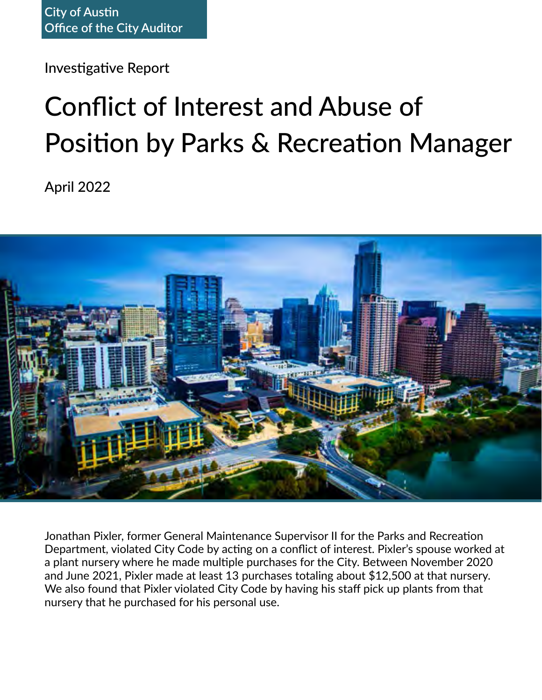Investigative Report

# Conflict of Interest and Abuse of Position by Parks & Recreation Manager

April 2022



Jonathan Pixler, former General Maintenance Supervisor II for the Parks and Recreation Department, violated City Code by acting on a conflict of interest. Pixler's spouse worked at a plant nursery where he made multiple purchases for the City. Between November 2020 and June 2021, Pixler made at least 13 purchases totaling about \$12,500 at that nursery. We also found that Pixler violated City Code by having his staff pick up plants from that nursery that he purchased for his personal use.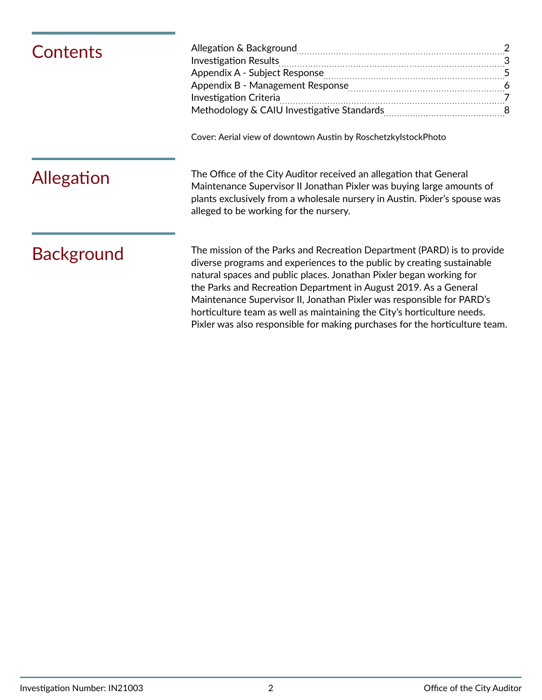| Contents          | Cover: Aerial view of downtown Austin by RoschetzkylstockPhoto                                                                                                                                                                                                                                                                                                                                                                                                                                                                  |
|-------------------|---------------------------------------------------------------------------------------------------------------------------------------------------------------------------------------------------------------------------------------------------------------------------------------------------------------------------------------------------------------------------------------------------------------------------------------------------------------------------------------------------------------------------------|
| Allegation        | The Office of the City Auditor received an allegation that General<br>Maintenance Supervisor II Jonathan Pixler was buying large amounts of<br>plants exclusively from a wholesale nursery in Austin. Pixler's spouse was<br>alleged to be working for the nursery.                                                                                                                                                                                                                                                             |
| <b>Background</b> | The mission of the Parks and Recreation Department (PARD) is to provide<br>diverse programs and experiences to the public by creating sustainable<br>natural spaces and public places. Jonathan Pixler began working for<br>the Parks and Recreation Department in August 2019. As a General<br>Maintenance Supervisor II, Jonathan Pixler was responsible for PARD's<br>horticulture team as well as maintaining the City's horticulture needs.<br>Pixler was also responsible for making purchases for the horticulture team. |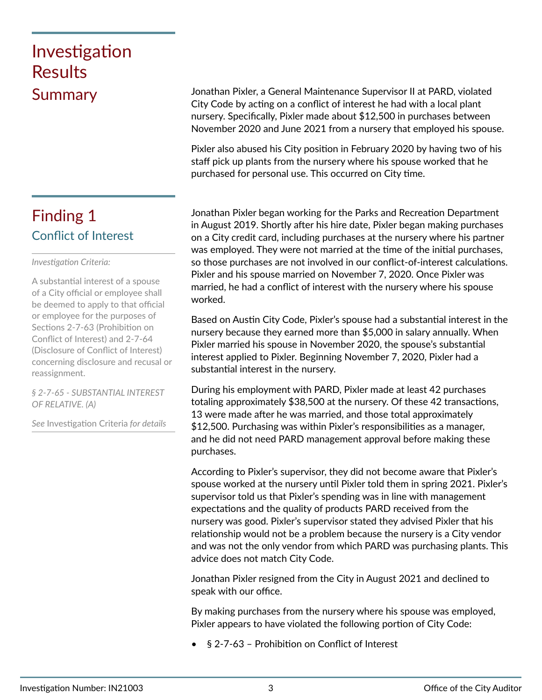# <span id="page-2-0"></span>Investigation Results

### Conflict of Interest Finding 1

### *Investigation Criteria:*

A substantial interest of a spouse of a City official or employee shall be deemed to apply to that official or employee for the purposes of Sections 2-7-63 (Prohibition on Conflict of Interest) and 2-7-64 (Disclosure of Conflict of Interest) concerning disclosure and recusal or reassignment.

*§ 2-7-65 - SUBSTANTIAL INTEREST OF RELATIVE. (A)* 

*See* Investigation Criteria *for details*

Summary Jonathan Pixler, a General Maintenance Supervisor II at PARD, violated City Code by acting on a conflict of interest he had with a local plant nursery. Specifically, Pixler made about \$12,500 in purchases between November 2020 and June 2021 from a nursery that employed his spouse.

> Pixler also abused his City position in February 2020 by having two of his staff pick up plants from the nursery where his spouse worked that he purchased for personal use. This occurred on City time.

Jonathan Pixler began working for the Parks and Recreation Department in August 2019. Shortly after his hire date, Pixler began making purchases on a City credit card, including purchases at the nursery where his partner was employed. They were not married at the time of the initial purchases, so those purchases are not involved in our conflict-of-interest calculations. Pixler and his spouse married on November 7, 2020. Once Pixler was married, he had a conflict of interest with the nursery where his spouse worked.

Based on Austin City Code, Pixler's spouse had a substantial interest in the nursery because they earned more than \$5,000 in salary annually. When Pixler married his spouse in November 2020, the spouse's substantial interest applied to Pixler. Beginning November 7, 2020, Pixler had a substantial interest in the nursery.

During his employment with PARD, Pixler made at least 42 purchases totaling approximately \$38,500 at the nursery. Of these 42 transactions, 13 were made after he was married, and those total approximately \$12,500. Purchasing was within Pixler's responsibilities as a manager, and he did not need PARD management approval before making these purchases.

According to Pixler's supervisor, they did not become aware that Pixler's spouse worked at the nursery until Pixler told them in spring 2021. Pixler's supervisor told us that Pixler's spending was in line with management expectations and the quality of products PARD received from the nursery was good. Pixler's supervisor stated they advised Pixler that his relationship would not be a problem because the nursery is a City vendor and was not the only vendor from which PARD was purchasing plants. This advice does not match City Code.

Jonathan Pixler resigned from the City in August 2021 and declined to speak with our office.

By making purchases from the nursery where his spouse was employed, Pixler appears to have violated the following portion of City Code:

• § 2-7-63 – Prohibition on Conflict of Interest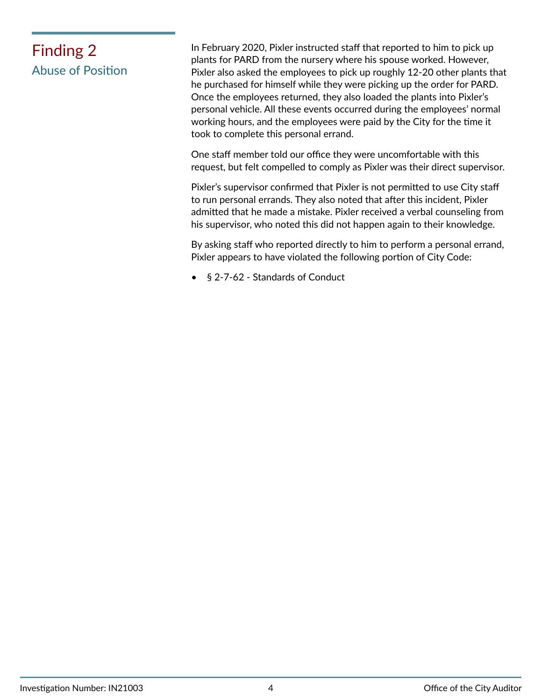# Abuse of Position

Finding 2 In February 2020, Pixler instructed staff that reported to him to pick up plants for PARD from the nursery where his spouse worked. However, Pixler also asked the employees to pick up roughly 12-20 other plants that he purchased for himself while they were picking up the order for PARD. Once the employees returned, they also loaded the plants into Pixler's personal vehicle. All these events occurred during the employees' normal working hours, and the employees were paid by the City for the time it took to complete this personal errand.

> One staff member told our office they were uncomfortable with this request, but felt compelled to comply as Pixler was their direct supervisor.

> Pixler's supervisor confirmed that Pixler is not permitted to use City staff to run personal errands. They also noted that after this incident, Pixler admitted that he made a mistake. Pixler received a verbal counseling from his supervisor, who noted this did not happen again to their knowledge.

> By asking staff who reported directly to him to perform a personal errand, Pixler appears to have violated the following portion of City Code:

• § 2-7-62 - Standards of Conduct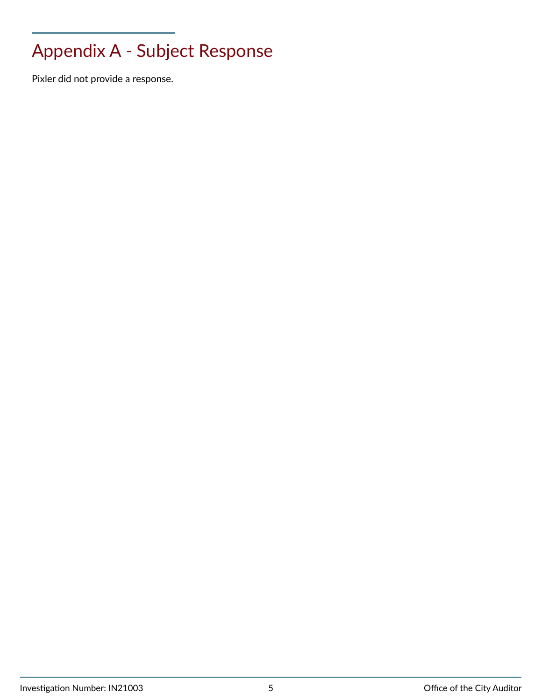# <span id="page-4-0"></span>Appendix A - Subject Response

Pixler did not provide a response.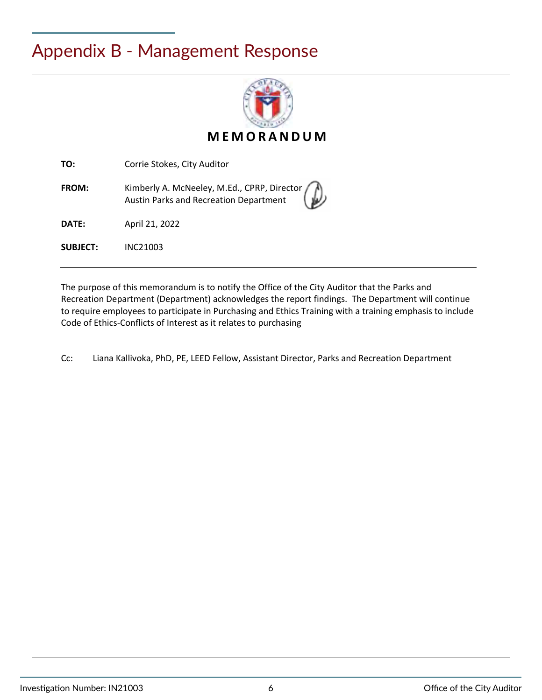## <span id="page-5-0"></span>Appendix B - Management Response



**MEMORANDUM**

**TO:** Corrie Stokes, City Auditor

**FROM:** Kimberly A. McNeeley, M.Ed., CPRP, Director Austin Parks and Recreation Department

**DATE:** April 21, 2022

**SUBJECT:** INC21003

The purpose of this memorandum is to notify the Office of the City Auditor that the Parks and Recreation Department (Department) acknowledges the report findings. The Department will continue to require employees to participate in Purchasing and Ethics Training with a training emphasis to include Code of Ethics-Conflicts of Interest as it relates to purchasing

Cc: Liana Kallivoka, PhD, PE, LEED Fellow, Assistant Director, Parks and Recreation Department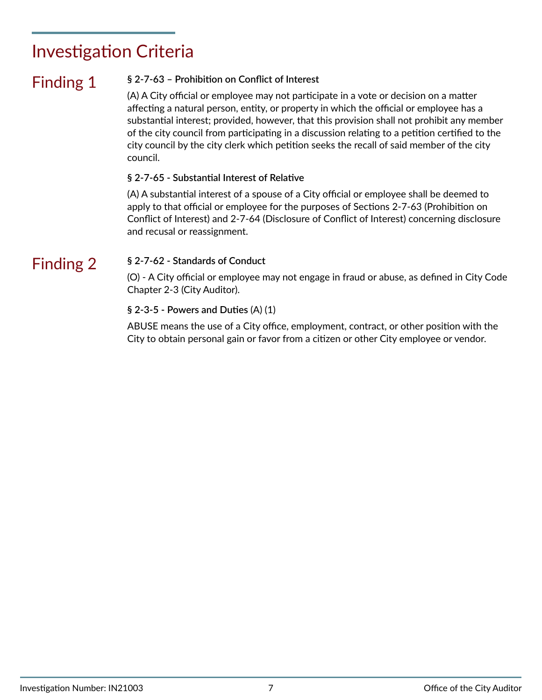## <span id="page-6-0"></span>Investigation Criteria

### Finding 1 **§ 2-7-63 – Prohibition on Conflict of Interest**

(A) A City official or employee may not participate in a vote or decision on a matter affecting a natural person, entity, or property in which the official or employee has a substantial interest; provided, however, that this provision shall not prohibit any member of the city council from participating in a discussion relating to a petition certified to the city council by the city clerk which petition seeks the recall of said member of the city council.

### **§ 2-7-65 - Substantial Interest of Relative**

(A) A substantial interest of a spouse of a City official or employee shall be deemed to apply to that official or employee for the purposes of Sections 2-7-63 (Prohibition on Conflict of Interest) and 2-7-64 (Disclosure of Conflict of Interest) concerning disclosure and recusal or reassignment.

### Finding 2

### **§ 2-7-62 - Standards of Conduct**

(O) - A City official or employee may not engage in fraud or abuse, as defined in City Code Chapter 2-3 (City Auditor).

### **§ 2-3-5 - Powers and Duties** (A) (1)

ABUSE means the use of a City office, employment, contract, or other position with the City to obtain personal gain or favor from a citizen or other City employee or vendor.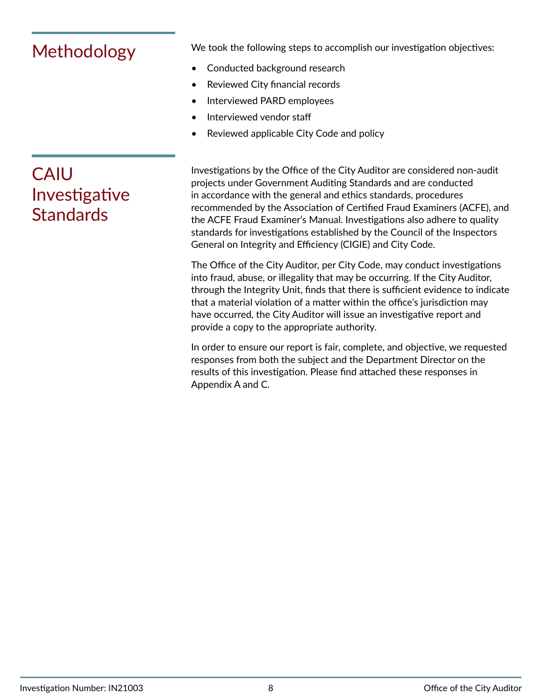<span id="page-7-0"></span>Methodology We took the following steps to accomplish our investigation objectives:

- Conducted background research
- Reviewed City financial records
- Interviewed PARD employees
- Interviewed vendor staff
- Reviewed applicable City Code and policy

Investigations by the Office of the City Auditor are considered non-audit projects under Government Auditing Standards and are conducted in accordance with the general and ethics standards, procedures recommended by the Association of Certified Fraud Examiners (ACFE), and the ACFE Fraud Examiner's Manual. Investigations also adhere to quality standards for investigations established by the Council of the Inspectors General on Integrity and Efficiency (CIGIE) and City Code.

The Office of the City Auditor, per City Code, may conduct investigations into fraud, abuse, or illegality that may be occurring. If the City Auditor, through the Integrity Unit, finds that there is sufficient evidence to indicate that a material violation of a matter within the office's jurisdiction may have occurred, the City Auditor will issue an investigative report and provide a copy to the appropriate authority.

In order to ensure our report is fair, complete, and objective, we requested responses from both the subject and the Department Director on the results of this investigation. Please find attached these responses in Appendix A and C.

## CAIU Investigative **Standards**